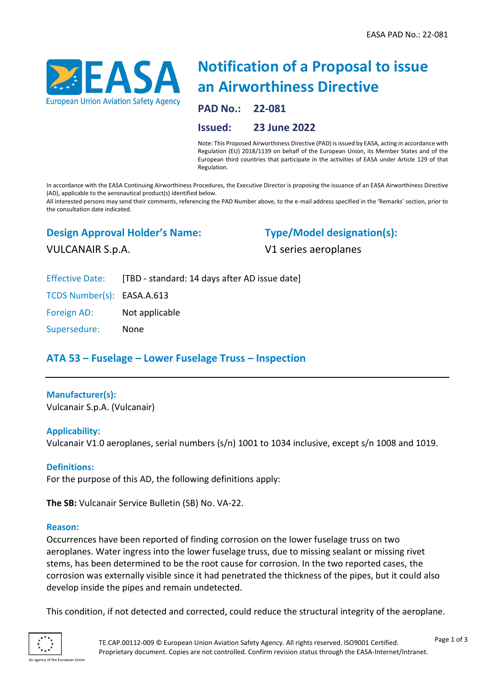

# **Notification of a Proposal to issue an Airworthiness Directive**

**PAD No.: 22-081**

#### **Issued: 23 June 2022**

Note: This Proposed Airworthiness Directive (PAD) is issued by EASA, acting in accordance with Regulation (EU) 2018/1139 on behalf of the European Union, its Member States and of the European third countries that participate in the activities of EASA under Article 129 of that Regulation.

In accordance with the EASA Continuing Airworthiness Procedures, the Executive Director is proposing the issuance of an EASA Airworthiness Directive (AD), applicable to the aeronautical product(s) identified below.

All interested persons may send their comments, referencing the PAD Number above, to the e-mail address specified in the 'Remarks' section, prior to the consultation date indicated.

### **Design Approval Holder's Name:**

## **Type/Model designation(s):**

V1 series aeroplanes

VULCANAIR S.p.A.

Effective Date: [TBD - standard: 14 days after AD issue date]

TCDS Number(s): EASA.A.613

Foreign AD: Not applicable

Supersedure: None

## **ATA 53 – Fuselage – Lower Fuselage Truss – Inspection**

#### **Manufacturer(s):**

Vulcanair S.p.A. (Vulcanair)

#### **Applicability:**

Vulcanair V1.0 aeroplanes, serial numbers (s/n) 1001 to 1034 inclusive, except s/n 1008 and 1019.

#### **Definitions:**

For the purpose of this AD, the following definitions apply:

**The SB:** Vulcanair Service Bulletin (SB) No. VA-22.

#### **Reason:**

Occurrences have been reported of finding corrosion on the lower fuselage truss on two aeroplanes. Water ingress into the lower fuselage truss, due to missing sealant or missing rivet stems, has been determined to be the root cause for corrosion. In the two reported cases, the corrosion was externally visible since it had penetrated the thickness of the pipes, but it could also develop inside the pipes and remain undetected.

This condition, if not detected and corrected, could reduce the structural integrity of the aeroplane.

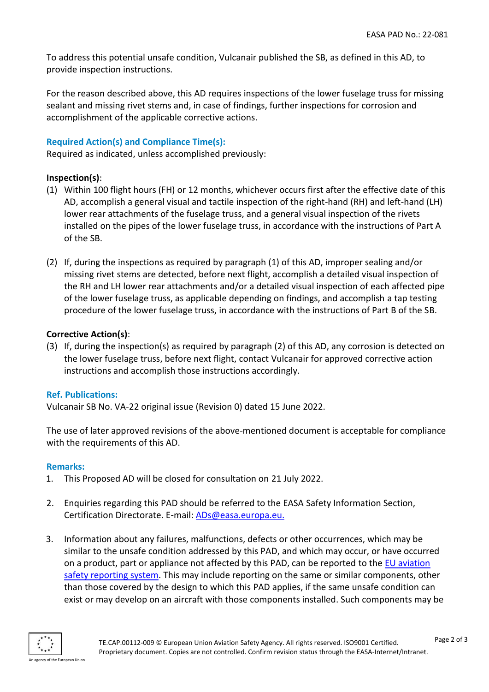To address this potential unsafe condition, Vulcanair published the SB, as defined in this AD, to provide inspection instructions.

For the reason described above, this AD requires inspections of the lower fuselage truss for missing sealant and missing rivet stems and, in case of findings, further inspections for corrosion and accomplishment of the applicable corrective actions.

#### **Required Action(s) and Compliance Time(s):**

Required as indicated, unless accomplished previously:

#### **Inspection(s)**:

- (1) Within 100 flight hours (FH) or 12 months, whichever occurs first after the effective date of this AD, accomplish a general visual and tactile inspection of the right-hand (RH) and left-hand (LH) lower rear attachments of the fuselage truss, and a general visual inspection of the rivets installed on the pipes of the lower fuselage truss, in accordance with the instructions of Part A of the SB.
- (2) If, during the inspections as required by paragraph (1) of this AD, improper sealing and/or missing rivet stems are detected, before next flight, accomplish a detailed visual inspection of the RH and LH lower rear attachments and/or a detailed visual inspection of each affected pipe of the lower fuselage truss, as applicable depending on findings, and accomplish a tap testing procedure of the lower fuselage truss, in accordance with the instructions of Part B of the SB.

#### **Corrective Action(s)**:

(3) If, during the inspection(s) as required by paragraph (2) of this AD, any corrosion is detected on the lower fuselage truss, before next flight, contact Vulcanair for approved corrective action instructions and accomplish those instructions accordingly.

#### **Ref. Publications:**

Vulcanair SB No. VA-22 original issue (Revision 0) dated 15 June 2022.

The use of later approved revisions of the above-mentioned document is acceptable for compliance with the requirements of this AD.

#### **Remarks:**

- 1. This Proposed AD will be closed for consultation on 21 July 2022.
- 2. Enquiries regarding this PAD should be referred to the EASA Safety Information Section, Certification Directorate. E-mail: [ADs@easa.europa.eu.](mailto:ADs@easa.europa.eu)
- 3. Information about any failures, malfunctions, defects or other occurrences, which may be similar to the unsafe condition addressed by this PAD, and which may occur, or have occurred on a product, part or appliance not affected by this PAD, can be reported to the [EU aviation](https://e2.aviationreporting.eu/reporting)  [safety reporting system.](https://e2.aviationreporting.eu/reporting) This may include reporting on the same or similar components, other than those covered by the design to which this PAD applies, if the same unsafe condition can exist or may develop on an aircraft with those components installed. Such components may be